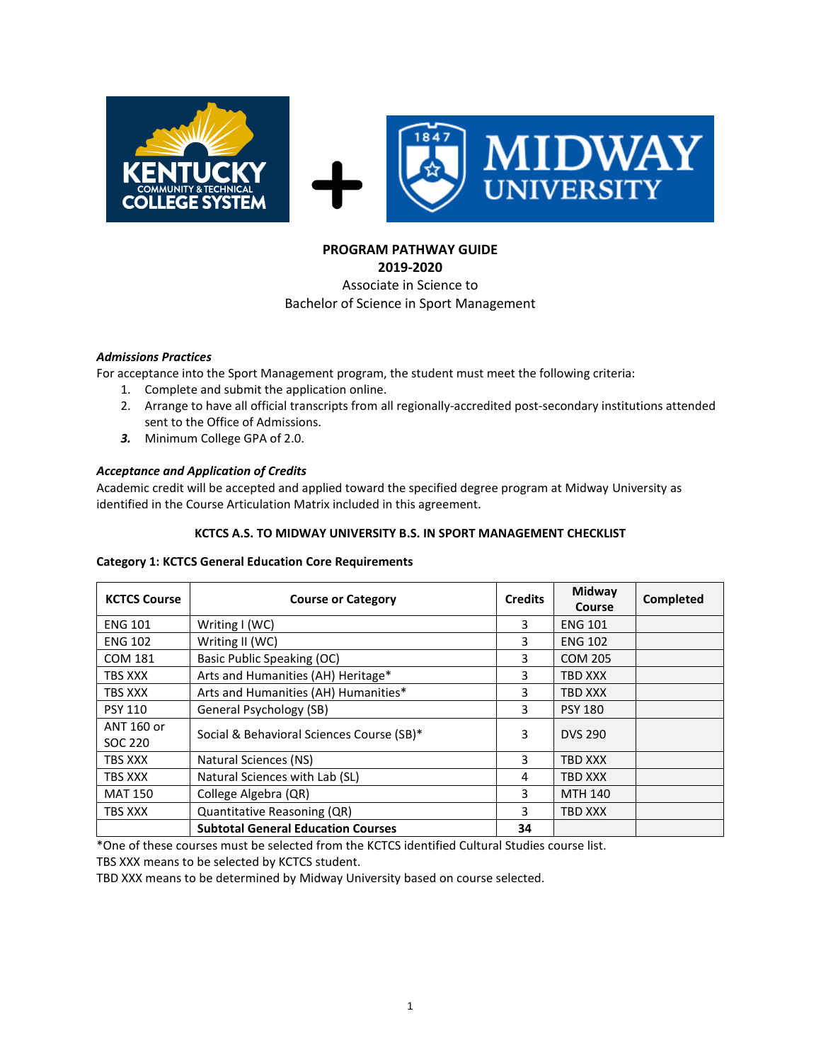

#### **PROGRAM PATHWAY GUIDE 2019-2020**

# Associate in Science to Bachelor of Science in Sport Management

### *Admissions Practices*

For acceptance into the Sport Management program, the student must meet the following criteria:

- 1. Complete and submit the application online.
- 2. Arrange to have all official transcripts from all regionally-accredited post-secondary institutions attended sent to the Office of Admissions.
- *3.* Minimum College GPA of 2.0.

# *Acceptance and Application of Credits*

Academic credit will be accepted and applied toward the specified degree program at Midway University as identified in the Course Articulation Matrix included in this agreement.

#### **KCTCS A.S. TO MIDWAY UNIVERSITY B.S. IN SPORT MANAGEMENT CHECKLIST**

#### **Category 1: KCTCS General Education Core Requirements**

| <b>KCTCS Course</b>   | <b>Course or Category</b>                 | <b>Credits</b> | Midway<br>Course | Completed |
|-----------------------|-------------------------------------------|----------------|------------------|-----------|
| <b>ENG 101</b>        | Writing $I(WC)$                           | 3              | <b>ENG 101</b>   |           |
| <b>ENG 102</b>        | Writing II (WC)                           | 3              | <b>ENG 102</b>   |           |
| COM 181               | Basic Public Speaking (OC)                | 3              | <b>COM 205</b>   |           |
| TBS XXX               | Arts and Humanities (AH) Heritage*        | 3              | TBD XXX          |           |
| TBS XXX               | Arts and Humanities (AH) Humanities*      | 3              | TBD XXX          |           |
| <b>PSY 110</b>        | General Psychology (SB)                   | 3              | <b>PSY 180</b>   |           |
| ANT 160 or<br>SOC 220 | Social & Behavioral Sciences Course (SB)* | 3              | <b>DVS 290</b>   |           |
| TBS XXX               | Natural Sciences (NS)                     | 3              | TBD XXX          |           |
| TBS XXX               | Natural Sciences with Lab (SL)            | 4              | <b>TBD XXX</b>   |           |
| <b>MAT 150</b>        | College Algebra (QR)                      | 3              | <b>MTH 140</b>   |           |
| TBS XXX               | Quantitative Reasoning (QR)               | 3              | <b>TBD XXX</b>   |           |
|                       | <b>Subtotal General Education Courses</b> | 34             |                  |           |

\*One of these courses must be selected from the KCTCS identified Cultural Studies course list.

TBS XXX means to be selected by KCTCS student.

TBD XXX means to be determined by Midway University based on course selected.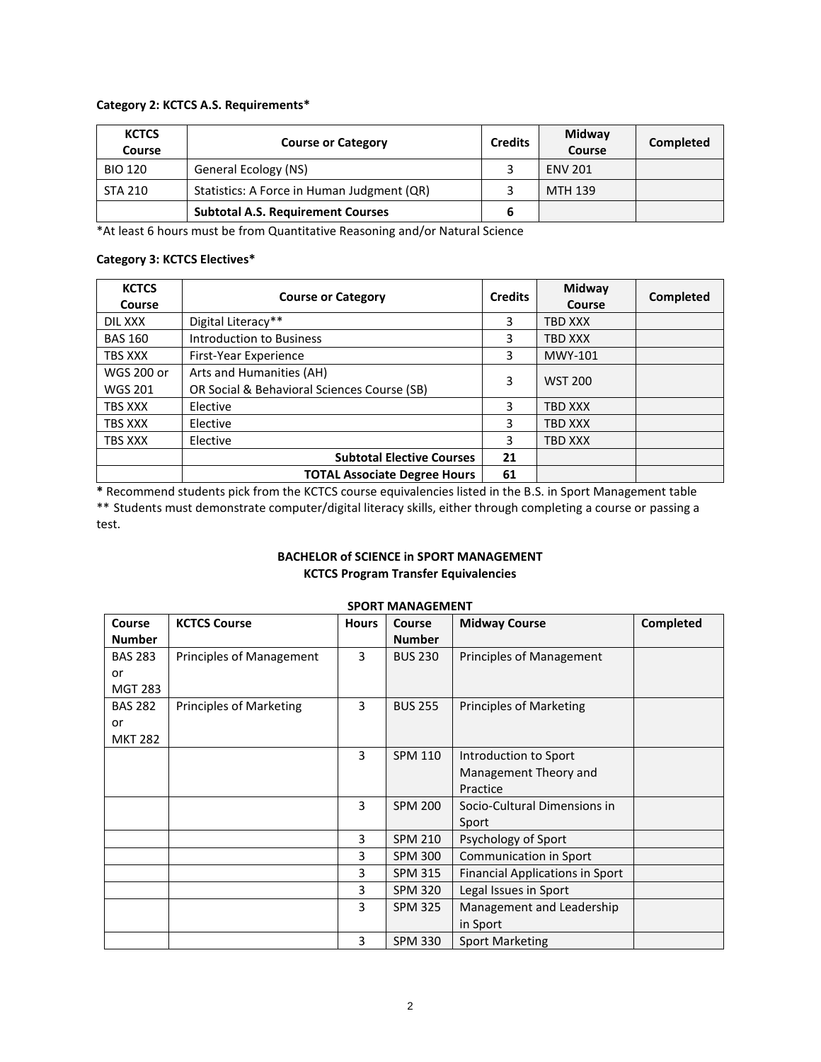#### **Category 2: KCTCS A.S. Requirements\***

| <b>KCTCS</b><br>Course | <b>Course or Category</b>                  | <b>Credits</b> | Midway<br>Course | Completed |
|------------------------|--------------------------------------------|----------------|------------------|-----------|
| <b>BIO 120</b>         | General Ecology (NS)                       |                | <b>ENV 201</b>   |           |
| <b>STA 210</b>         | Statistics: A Force in Human Judgment (QR) |                | MTH 139          |           |
|                        | <b>Subtotal A.S. Requirement Courses</b>   |                |                  |           |

\*At least 6 hours must be from Quantitative Reasoning and/or Natural Science

#### **Category 3: KCTCS Electives\***

| <b>KCTCS</b><br>Course | <b>Course or Category</b>                   | <b>Credits</b> | Midway<br>Course | Completed |
|------------------------|---------------------------------------------|----------------|------------------|-----------|
| DIL XXX                | Digital Literacy**                          | 3              | <b>TBD XXX</b>   |           |
| <b>BAS 160</b>         | <b>Introduction to Business</b>             | 3              | <b>TBD XXX</b>   |           |
| <b>TBS XXX</b>         | First-Year Experience                       | 3              | MWY-101          |           |
| <b>WGS 200 or</b>      | Arts and Humanities (AH)                    | 3              | <b>WST 200</b>   |           |
| <b>WGS 201</b>         | OR Social & Behavioral Sciences Course (SB) |                |                  |           |
| <b>TBS XXX</b>         | Elective                                    | ς              | <b>TBD XXX</b>   |           |
| TBS XXX                | Elective                                    | 3              | <b>TBD XXX</b>   |           |
| TBS XXX                | Elective                                    | 3              | <b>TBD XXX</b>   |           |
|                        | <b>Subtotal Elective Courses</b>            | 21             |                  |           |
|                        | <b>TOTAL Associate Degree Hours</b>         | 61             |                  |           |

**\*** Recommend students pick from the KCTCS course equivalencies listed in the B.S. in Sport Management table \*\* Students must demonstrate computer/digital literacy skills, either through completing a course or passing a test.

## **BACHELOR of SCIENCE in SPORT MANAGEMENT KCTCS Program Transfer Equivalencies**

| Course         | <b>KCTCS Course</b>            | <b>Hours</b> | <b>SPURI IVIANAGEIVIENI</b><br><b>Course</b> | <b>Midway Course</b>                   | Completed |
|----------------|--------------------------------|--------------|----------------------------------------------|----------------------------------------|-----------|
|                |                                |              |                                              |                                        |           |
| <b>Number</b>  |                                |              | <b>Number</b>                                |                                        |           |
| <b>BAS 283</b> | Principles of Management       | 3            | <b>BUS 230</b>                               | Principles of Management               |           |
| or             |                                |              |                                              |                                        |           |
| <b>MGT 283</b> |                                |              |                                              |                                        |           |
| <b>BAS 282</b> | <b>Principles of Marketing</b> | 3            | <b>BUS 255</b>                               | <b>Principles of Marketing</b>         |           |
| or             |                                |              |                                              |                                        |           |
| <b>MKT 282</b> |                                |              |                                              |                                        |           |
|                |                                | 3            | <b>SPM 110</b>                               | Introduction to Sport                  |           |
|                |                                |              |                                              | Management Theory and                  |           |
|                |                                |              |                                              | Practice                               |           |
|                |                                | 3            | <b>SPM 200</b>                               | Socio-Cultural Dimensions in           |           |
|                |                                |              |                                              | Sport                                  |           |
|                |                                | 3            | <b>SPM 210</b>                               | Psychology of Sport                    |           |
|                |                                | 3            | <b>SPM 300</b>                               | Communication in Sport                 |           |
|                |                                | 3            | <b>SPM 315</b>                               | <b>Financial Applications in Sport</b> |           |
|                |                                | 3            | <b>SPM 320</b>                               | Legal Issues in Sport                  |           |
|                |                                | 3            | <b>SPM 325</b>                               | Management and Leadership              |           |
|                |                                |              |                                              | in Sport                               |           |
|                |                                | 3            | <b>SPM 330</b>                               | <b>Sport Marketing</b>                 |           |

# **SPORT MANAGEMENT**